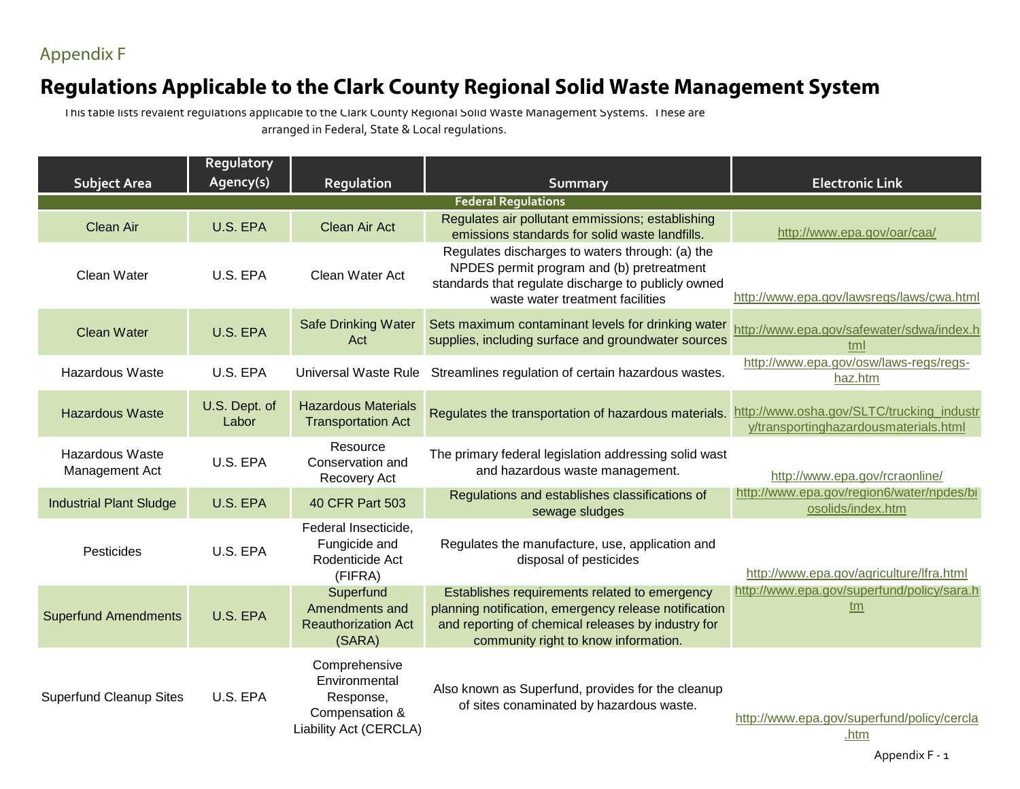Appendix F

## **Regulations Applicable to the Clark County Regional Solid Waste Management System**

This table lists revalent regulations applicable to the Clark County Regional Solid Waste Management Systems. These are arranged in Federal, State & Local regulations.

| <b>Subject Area</b>                      | Regulatory<br>Agency(s) | Regulation                                                                              | <b>Summary</b>                                                                                                                                                                                       | <b>Electronic Link</b>                                                             |
|------------------------------------------|-------------------------|-----------------------------------------------------------------------------------------|------------------------------------------------------------------------------------------------------------------------------------------------------------------------------------------------------|------------------------------------------------------------------------------------|
|                                          |                         |                                                                                         | <b>Federal Regulations</b>                                                                                                                                                                           |                                                                                    |
| <b>Clean Air</b>                         | U.S. EPA                | Clean Air Act                                                                           | Regulates air pollutant emmissions; establishing<br>emissions standards for solid waste landfills.                                                                                                   | http://www.epa.gov/oar/caa/                                                        |
| Clean Water                              | U.S. EPA                | Clean Water Act                                                                         | Regulates discharges to waters through: (a) the<br>NPDES permit program and (b) pretreatment<br>standards that regulate discharge to publicly owned<br>waste water treatment facilities              | http://www.epa.gov/lawsregs/laws/cwa.html                                          |
| <b>Clean Water</b>                       | U.S. EPA                | <b>Safe Drinking Water</b><br>Act                                                       | Sets maximum contaminant levels for drinking water<br>supplies, including surface and groundwater sources                                                                                            | http://www.epa.gov/safewater/sdwa/index.h<br>tml                                   |
| <b>Hazardous Waste</b>                   | U.S. EPA                | Universal Waste Rule                                                                    | Streamlines regulation of certain hazardous wastes.                                                                                                                                                  | http://www.epa.gov/osw/laws-regs/regs-<br>haz.htm                                  |
| <b>Hazardous Waste</b>                   | U.S. Dept. of<br>Labor  | <b>Hazardous Materials</b><br><b>Transportation Act</b>                                 | Regulates the transportation of hazardous materials.                                                                                                                                                 | http://www.osha.gov/SLTC/trucking_industr<br>y/transportinghazardousmaterials.html |
| <b>Hazardous Waste</b><br>Management Act | U.S. EPA                | Resource<br>Conservation and<br>Recovery Act                                            | The primary federal legislation addressing solid wast<br>and hazardous waste management.                                                                                                             | http://www.epa.gov/rcraonline/                                                     |
| <b>Industrial Plant Sludge</b>           | U.S. EPA                | 40 CFR Part 503                                                                         | Regulations and establishes classifications of<br>sewage sludges                                                                                                                                     | http://www.epa.gov/region6/water/npdes/bi<br>osolids/index.htm                     |
| Pesticides                               | U.S. EPA                | Federal Insecticide,<br>Fungicide and<br>Rodenticide Act<br>(FIFRA)                     | Regulates the manufacture, use, application and<br>disposal of pesticides                                                                                                                            | http://www.epa.gov/agriculture/lfra.html                                           |
| <b>Superfund Amendments</b>              | U.S. EPA                | Superfund<br>Amendments and<br><b>Reauthorization Act</b><br>(SARA)                     | Establishes requirements related to emergency<br>planning notification, emergency release notification<br>and reporting of chemical releases by industry for<br>community right to know information. | http://www.epa.gov/superfund/policy/sara.h<br>tm                                   |
| <b>Superfund Cleanup Sites</b>           | U.S. EPA                | Comprehensive<br>Environmental<br>Response,<br>Compensation &<br>Liability Act (CERCLA) | Also known as Superfund, provides for the cleanup<br>of sites conaminated by hazardous waste.                                                                                                        | http://www.epa.gov/superfund/policy/cercla<br>.htm                                 |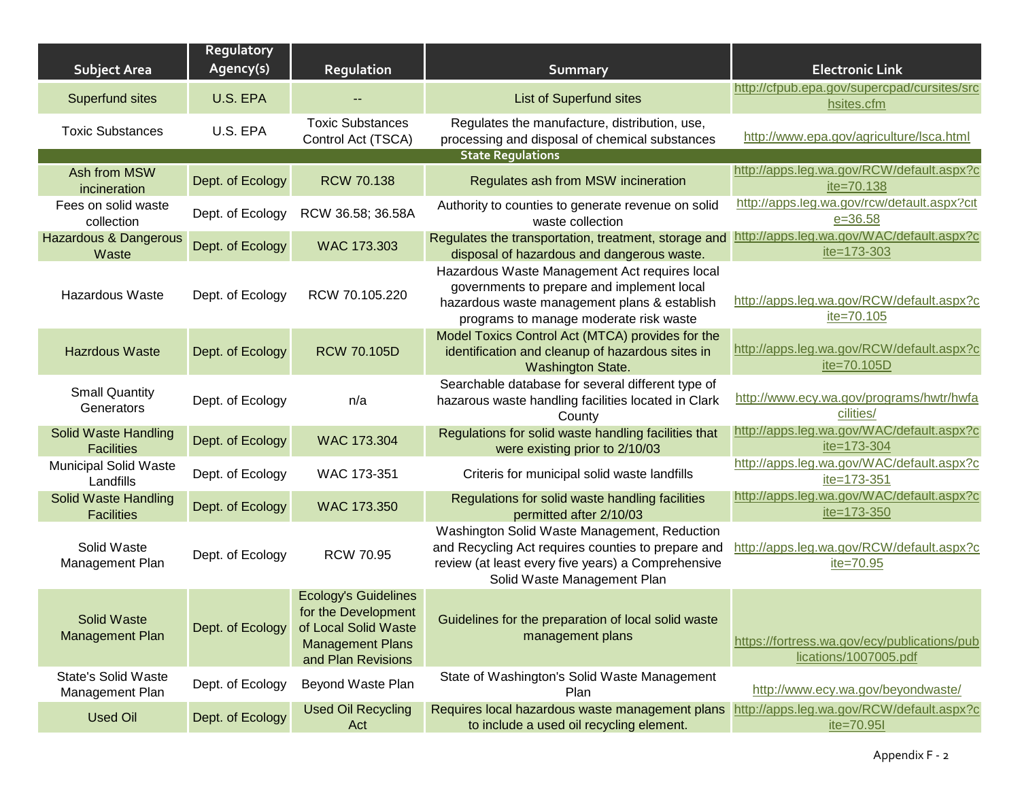| <b>Subject Area</b>                              | Regulatory<br>Agency(s) | Regulation                                                                                                                  | <b>Summary</b>                                                                                                                                                                          | <b>Electronic Link</b>                                                |
|--------------------------------------------------|-------------------------|-----------------------------------------------------------------------------------------------------------------------------|-----------------------------------------------------------------------------------------------------------------------------------------------------------------------------------------|-----------------------------------------------------------------------|
| Superfund sites                                  | U.S. EPA                |                                                                                                                             | <b>List of Superfund sites</b>                                                                                                                                                          | http://cfpub.epa.gov/supercpad/cursites/src<br>hsites.cfm             |
| <b>Toxic Substances</b>                          | U.S. EPA                | <b>Toxic Substances</b><br>Control Act (TSCA)                                                                               | Regulates the manufacture, distribution, use,<br>processing and disposal of chemical substances                                                                                         | http://www.epa.gov/agriculture/lsca.html                              |
|                                                  |                         |                                                                                                                             | <b>State Regulations</b>                                                                                                                                                                |                                                                       |
| Ash from MSW<br>incineration                     | Dept. of Ecology        | <b>RCW 70.138</b>                                                                                                           | Regulates ash from MSW incineration                                                                                                                                                     | http://apps.leg.wa.gov/RCW/default.aspx?c<br>ite=70.138               |
| Fees on solid waste<br>collection                | Dept. of Ecology        | RCW 36.58; 36.58A                                                                                                           | Authority to counties to generate revenue on solid<br>waste collection                                                                                                                  | http://apps.leg.wa.gov/rcw/default.aspx?cit<br>$e = 36.58$            |
| <b>Hazardous &amp; Dangerous</b><br>Waste        | Dept. of Ecology        | WAC 173.303                                                                                                                 | Regulates the transportation, treatment, storage and<br>disposal of hazardous and dangerous waste.                                                                                      | http://apps.leg.wa.gov/WAC/default.aspx?c<br>ite=173-303              |
| <b>Hazardous Waste</b>                           | Dept. of Ecology        | RCW 70.105.220                                                                                                              | Hazardous Waste Management Act requires local<br>governments to prepare and implement local<br>hazardous waste management plans & establish<br>programs to manage moderate risk waste   | http://apps.leg.wa.gov/RCW/default.aspx?c<br>ite=70.105               |
| <b>Hazrdous Waste</b>                            | Dept. of Ecology        | <b>RCW 70.105D</b>                                                                                                          | Model Toxics Control Act (MTCA) provides for the<br>identification and cleanup of hazardous sites in<br>Washington State.                                                               | http://apps.leg.wa.gov/RCW/default.aspx?c<br>ite=70.105D              |
| <b>Small Quantity</b><br>Generators              | Dept. of Ecology        | n/a                                                                                                                         | Searchable database for several different type of<br>hazarous waste handling facilities located in Clark<br>County                                                                      | http://www.ecy.wa.gov/programs/hwtr/hwfa<br>cilities/                 |
| Solid Waste Handling<br><b>Facilities</b>        | Dept. of Ecology        | WAC 173.304                                                                                                                 | Regulations for solid waste handling facilities that<br>were existing prior to 2/10/03                                                                                                  | http://apps.leg.wa.gov/WAC/default.aspx?c<br>ite=173-304              |
| <b>Municipal Solid Waste</b><br>Landfills        | Dept. of Ecology        | WAC 173-351                                                                                                                 | Criteris for municipal solid waste landfills                                                                                                                                            | http://apps.leg.wa.gov/WAC/default.aspx?c<br>ite=173-351              |
| <b>Solid Waste Handling</b><br><b>Facilities</b> | Dept. of Ecology        | WAC 173.350                                                                                                                 | Regulations for solid waste handling facilities<br>permitted after 2/10/03                                                                                                              | http://apps.leg.wa.gov/WAC/default.aspx?c<br>$ite = 173 - 350$        |
| Solid Waste<br>Management Plan                   | Dept. of Ecology        | <b>RCW 70.95</b>                                                                                                            | Washington Solid Waste Management, Reduction<br>and Recycling Act requires counties to prepare and<br>review (at least every five years) a Comprehensive<br>Solid Waste Management Plan | http://apps.leg.wa.gov/RCW/default.aspx?c<br>ite=70.95                |
| <b>Solid Waste</b><br><b>Management Plan</b>     | Dept. of Ecology        | <b>Ecology's Guidelines</b><br>for the Development<br>of Local Solid Waste<br><b>Management Plans</b><br>and Plan Revisions | Guidelines for the preparation of local solid waste<br>management plans                                                                                                                 | https://fortress.wa.gov/ecy/publications/pub<br>lications/1007005.pdf |
| <b>State's Solid Waste</b><br>Management Plan    | Dept. of Ecology        | Beyond Waste Plan                                                                                                           | State of Washington's Solid Waste Management<br>Plan                                                                                                                                    | http://www.ecy.wa.gov/beyondwaste/                                    |
| <b>Used Oil</b>                                  | Dept. of Ecology        | <b>Used Oil Recycling</b><br>Act                                                                                            | Requires local hazardous waste management plans http://apps.leg.wa.gov/RCW/default.aspx?c<br>to include a used oil recycling element.                                                   | ite=70.951                                                            |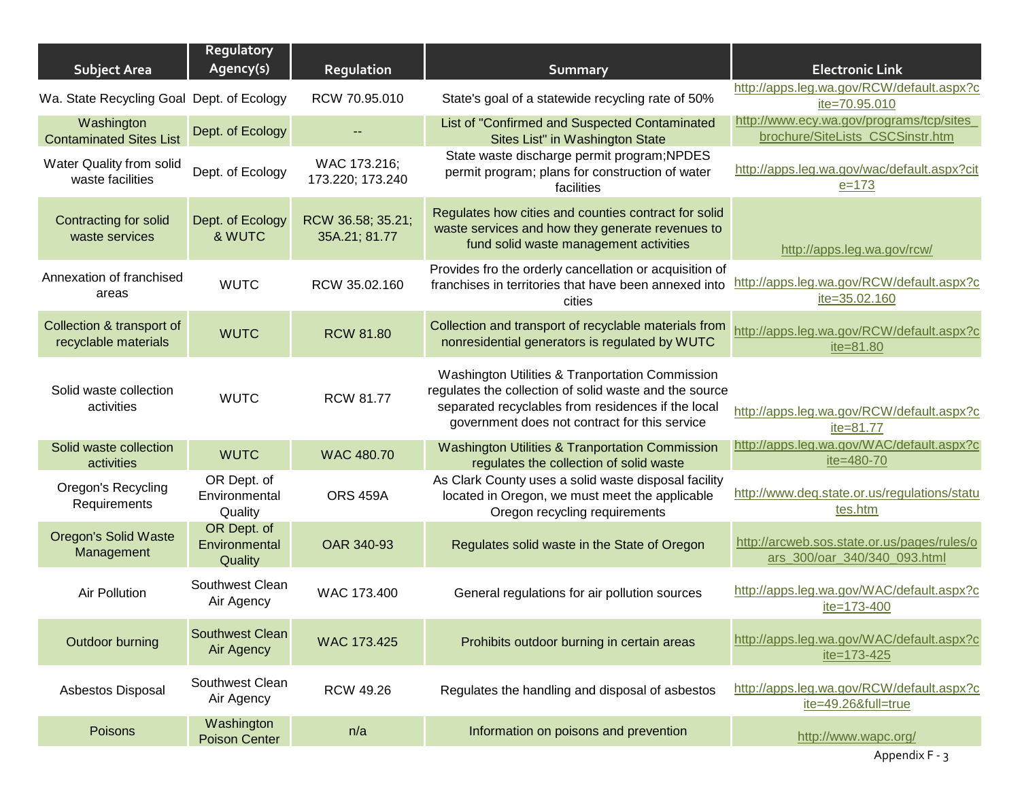| <b>Subject Area</b>                               | Regulatory<br>Agency(s)                 | Regulation                         | <b>Summary</b>                                                                                                                                                                                                   | <b>Electronic Link</b>                                                        |
|---------------------------------------------------|-----------------------------------------|------------------------------------|------------------------------------------------------------------------------------------------------------------------------------------------------------------------------------------------------------------|-------------------------------------------------------------------------------|
| Wa. State Recycling Goal Dept. of Ecology         |                                         | RCW 70.95.010                      | State's goal of a statewide recycling rate of 50%                                                                                                                                                                | http://apps.leg.wa.gov/RCW/default.aspx?c<br>ite=70.95.010                    |
| Washington<br><b>Contaminated Sites List</b>      | Dept. of Ecology                        |                                    | List of "Confirmed and Suspected Contaminated<br>Sites List" in Washington State                                                                                                                                 | http://www.ecy.wa.gov/programs/tcp/sites_<br>brochure/SiteLists_CSCSinstr.htm |
| Water Quality from solid<br>waste facilities      | Dept. of Ecology                        | WAC 173.216;<br>173.220; 173.240   | State waste discharge permit program; NPDES<br>permit program; plans for construction of water<br>facilities                                                                                                     | http://apps.leg.wa.gov/wac/default.aspx?cit<br>$e = 173$                      |
| Contracting for solid<br>waste services           | Dept. of Ecology<br>& WUTC              | RCW 36.58; 35.21;<br>35A.21; 81.77 | Regulates how cities and counties contract for solid<br>waste services and how they generate revenues to<br>fund solid waste management activities                                                               | http://apps.leg.wa.gov/rcw/                                                   |
| Annexation of franchised<br>areas                 | <b>WUTC</b>                             | RCW 35.02.160                      | Provides fro the orderly cancellation or acquisition of<br>franchises in territories that have been annexed into<br>cities                                                                                       | http://apps.leg.wa.gov/RCW/default.aspx?c<br>ite=35.02.160                    |
| Collection & transport of<br>recyclable materials | <b>WUTC</b>                             | <b>RCW 81.80</b>                   | Collection and transport of recyclable materials from<br>nonresidential generators is regulated by WUTC                                                                                                          | http://apps.leg.wa.gov/RCW/default.aspx?c<br>ite=81.80                        |
| Solid waste collection<br>activities              | <b>WUTC</b>                             | <b>RCW 81.77</b>                   | Washington Utilities & Tranportation Commission<br>regulates the collection of solid waste and the source<br>separated recyclables from residences if the local<br>government does not contract for this service | http://apps.leg.wa.gov/RCW/default.aspx?c<br>ite=81.77                        |
| Solid waste collection<br>activities              | <b>WUTC</b>                             | <b>WAC 480.70</b>                  | <b>Washington Utilities &amp; Tranportation Commission</b><br>regulates the collection of solid waste                                                                                                            | http://apps.leg.wa.gov/WAC/default.aspx?c<br>ite=480-70                       |
| <b>Oregon's Recycling</b><br>Requirements         | OR Dept. of<br>Environmental<br>Quality | <b>ORS 459A</b>                    | As Clark County uses a solid waste disposal facility<br>located in Oregon, we must meet the applicable<br>Oregon recycling requirements                                                                          | http://www.deq.state.or.us/regulations/statu<br>tes.htm                       |
| <b>Oregon's Solid Waste</b><br>Management         | OR Dept. of<br>Environmental<br>Quality | OAR 340-93                         | Regulates solid waste in the State of Oregon                                                                                                                                                                     | http://arcweb.sos.state.or.us/pages/rules/o<br>ars_300/oar_340/340_093.html   |
| <b>Air Pollution</b>                              | Southwest Clean<br>Air Agency           | WAC 173.400                        | General regulations for air pollution sources                                                                                                                                                                    | http://apps.leg.wa.gov/WAC/default.aspx?c<br>ite=173-400                      |
| Outdoor burning                                   | <b>Southwest Clean</b><br>Air Agency    | <b>WAC 173.425</b>                 | Prohibits outdoor burning in certain areas                                                                                                                                                                       | http://apps.leg.wa.gov/WAC/default.aspx?c<br>ite=173-425                      |
| Asbestos Disposal                                 | Southwest Clean<br>Air Agency           | <b>RCW 49.26</b>                   | Regulates the handling and disposal of asbestos                                                                                                                                                                  | http://apps.leg.wa.gov/RCW/default.aspx?c<br>ite=49.26&full=true              |
| Poisons                                           | Washington<br><b>Poison Center</b>      | n/a                                | Information on poisons and prevention                                                                                                                                                                            | http://www.wapc.org/                                                          |